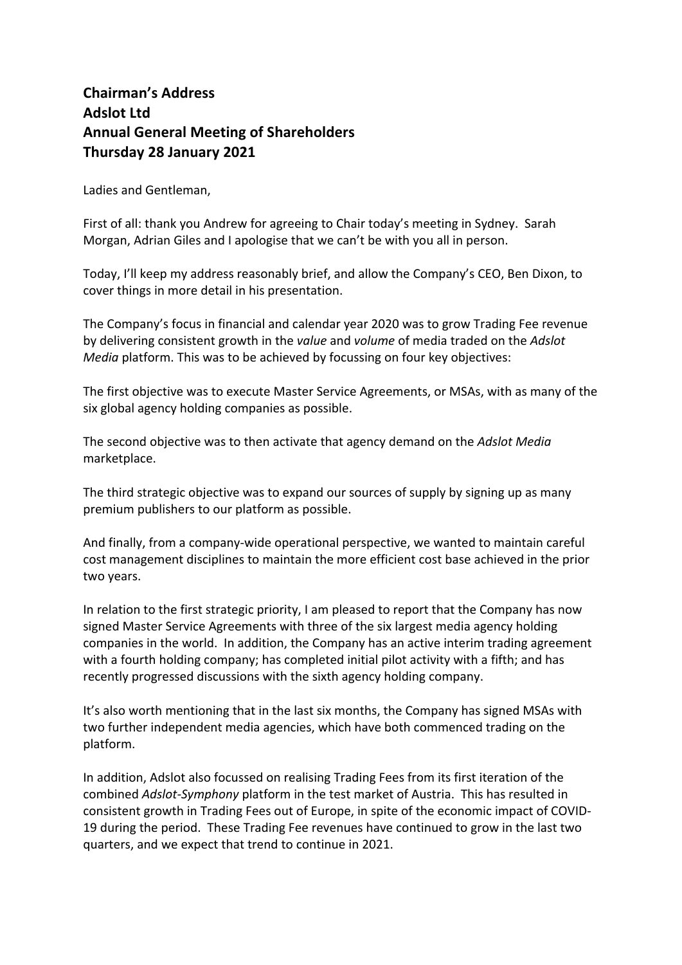## **Chairman's Address Adslot Ltd Annual General Meeting of Shareholders Thursday 28 January 2021**

Ladies and Gentleman,

First of all: thank you Andrew for agreeing to Chair today's meeting in Sydney. Sarah Morgan, Adrian Giles and I apologise that we can't be with you all in person.

Today, I'll keep my address reasonably brief, and allow the Company's CEO, Ben Dixon, to cover things in more detail in his presentation.

The Company's focus in financial and calendar year 2020 was to grow Trading Fee revenue by delivering consistent growth in the *value* and *volume* of media traded on the *Adslot Media* platform. This was to be achieved by focussing on four key objectives:

The first objective was to execute Master Service Agreements, or MSAs, with as many of the six global agency holding companies as possible.

The second objective was to then activate that agency demand on the *Adslot Media* marketplace.

The third strategic objective was to expand our sources of supply by signing up as many premium publishers to our platform as possible.

And finally, from a company-wide operational perspective, we wanted to maintain careful cost management disciplines to maintain the more efficient cost base achieved in the prior two years.

In relation to the first strategic priority, I am pleased to report that the Company has now signed Master Service Agreements with three of the six largest media agency holding companies in the world. In addition, the Company has an active interim trading agreement with a fourth holding company; has completed initial pilot activity with a fifth; and has recently progressed discussions with the sixth agency holding company.

It's also worth mentioning that in the last six months, the Company has signed MSAs with two further independent media agencies, which have both commenced trading on the platform.

In addition, Adslot also focussed on realising Trading Fees from its first iteration of the combined *Adslot-Symphony* platform in the test market of Austria. This has resulted in consistent growth in Trading Fees out of Europe, in spite of the economic impact of COVID-19 during the period. These Trading Fee revenues have continued to grow in the last two quarters, and we expect that trend to continue in 2021.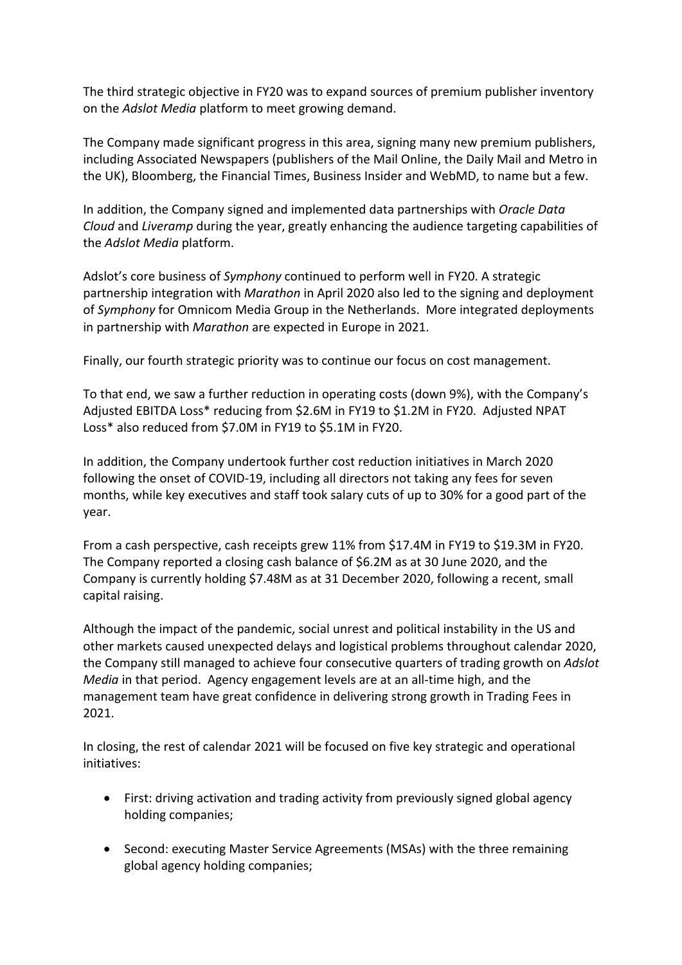The third strategic objective in FY20 was to expand sources of premium publisher inventory on the *Adslot Media* platform to meet growing demand.

The Company made significant progress in this area, signing many new premium publishers, including Associated Newspapers (publishers of the Mail Online, the Daily Mail and Metro in the UK), Bloomberg, the Financial Times, Business Insider and WebMD, to name but a few.

In addition, the Company signed and implemented data partnerships with *Oracle Data Cloud* and *Liveramp* during the year, greatly enhancing the audience targeting capabilities of the *Adslot Media* platform.

Adslot's core business of *Symphony* continued to perform well in FY20. A strategic partnership integration with *Marathon* in April 2020 also led to the signing and deployment of *Symphony* for Omnicom Media Group in the Netherlands. More integrated deployments in partnership with *Marathon* are expected in Europe in 2021.

Finally, our fourth strategic priority was to continue our focus on cost management.

To that end, we saw a further reduction in operating costs (down 9%), with the Company's Adjusted EBITDA Loss\* reducing from \$2.6M in FY19 to \$1.2M in FY20. Adjusted NPAT Loss\* also reduced from \$7.0M in FY19 to \$5.1M in FY20.

In addition, the Company undertook further cost reduction initiatives in March 2020 following the onset of COVID-19, including all directors not taking any fees for seven months, while key executives and staff took salary cuts of up to 30% for a good part of the year.

From a cash perspective, cash receipts grew 11% from \$17.4M in FY19 to \$19.3M in FY20. The Company reported a closing cash balance of \$6.2M as at 30 June 2020, and the Company is currently holding \$7.48M as at 31 December 2020, following a recent, small capital raising.

Although the impact of the pandemic, social unrest and political instability in the US and other markets caused unexpected delays and logistical problems throughout calendar 2020, the Company still managed to achieve four consecutive quarters of trading growth on *Adslot Media* in that period. Agency engagement levels are at an all-time high, and the management team have great confidence in delivering strong growth in Trading Fees in 2021.

In closing, the rest of calendar 2021 will be focused on five key strategic and operational initiatives:

- First: driving activation and trading activity from previously signed global agency holding companies;
- Second: executing Master Service Agreements (MSAs) with the three remaining global agency holding companies;